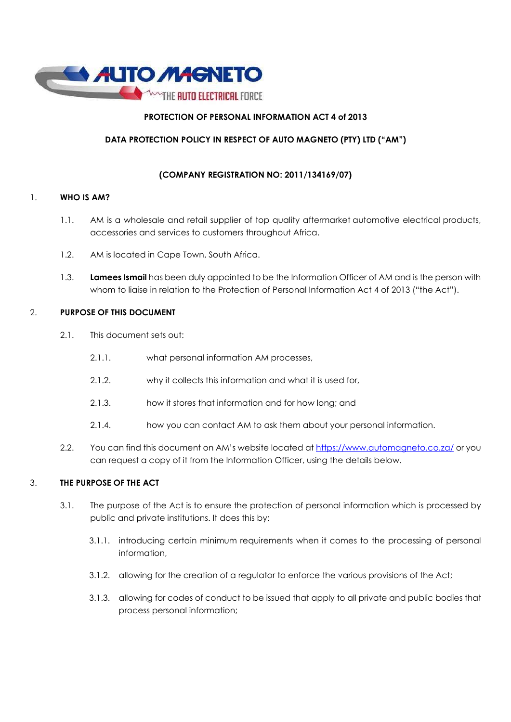

# PROTECTION OF PERSONAL INFORMATION ACT 4 of 2013

# DATA PROTECTION POLICY IN RESPECT OF AUTO MAGNETO (PTY) LTD ("AM")

# (COMPANY REGISTRATION NO: 2011/134169/07)

# 1. WHO IS AM?

- 1.1. AM is a wholesale and retail supplier of top quality aftermarket automotive electrical products, accessories and services to customers throughout Africa.
- 1.2. AM is located in Cape Town, South Africa.
- 1.3. Lamees Ismail has been duly appointed to be the Information Officer of AM and is the person with whom to liaise in relation to the Protection of Personal Information Act 4 of 2013 ("the Act").

# 2. PURPOSE OF THIS DOCUMENT

- 2.1. This document sets out:
	- 2.1.1. what personal information AM processes,
	- 2.1.2. why it collects this information and what it is used for,
	- 2.1.3. how it stores that information and for how long; and
	- 2.1.4. how you can contact AM to ask them about your personal information.
- 2.2. You can find this document on AM's website located at https://www.automagneto.co.za/ or you can request a copy of it from the Information Officer, using the details below.

# 3. THE PURPOSE OF THE ACT

- 3.1. The purpose of the Act is to ensure the protection of personal information which is processed by public and private institutions. It does this by:
	- 3.1.1. introducing certain minimum requirements when it comes to the processing of personal information,
	- 3.1.2. allowing for the creation of a regulator to enforce the various provisions of the Act;
	- 3.1.3. allowing for codes of conduct to be issued that apply to all private and public bodies that process personal information;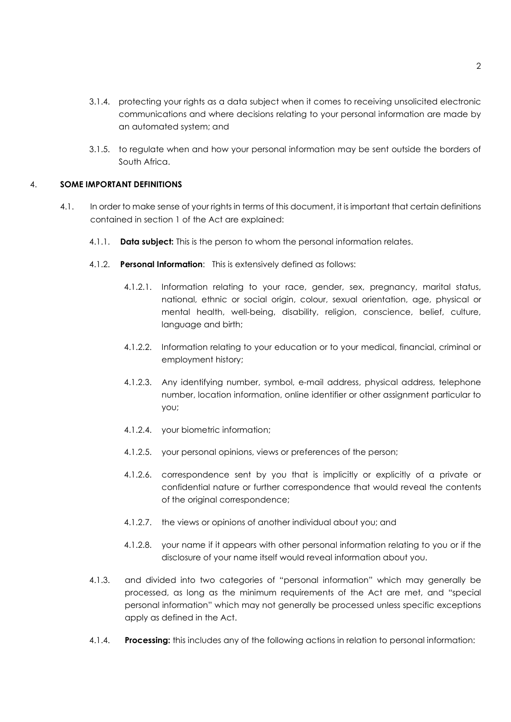- 3.1.4. protecting your rights as a data subject when it comes to receiving unsolicited electronic communications and where decisions relating to your personal information are made by an automated system; and
- 3.1.5. to regulate when and how your personal information may be sent outside the borders of South Africa.

## 4. SOME IMPORTANT DEFINITIONS

- 4.1. In order to make sense of your rights in terms of this document, it is important that certain definitions contained in section 1 of the Act are explained:
	- 4.1.1. **Data subject:** This is the person to whom the personal information relates.
	- 4.1.2. Personal Information: This is extensively defined as follows:
		- 4.1.2.1. Information relating to your race, gender, sex, pregnancy, marital status, national, ethnic or social origin, colour, sexual orientation, age, physical or mental health, well-being, disability, religion, conscience, belief, culture, language and birth;
		- 4.1.2.2. Information relating to your education or to your medical, financial, criminal or employment history;
		- 4.1.2.3. Any identifying number, symbol, e-mail address, physical address, telephone number, location information, online identifier or other assignment particular to you;
		- 4.1.2.4. your biometric information;
		- 4.1.2.5. your personal opinions, views or preferences of the person;
		- 4.1.2.6. correspondence sent by you that is implicitly or explicitly of a private or confidential nature or further correspondence that would reveal the contents of the original correspondence;
		- 4.1.2.7. the views or opinions of another individual about you; and
		- 4.1.2.8. your name if it appears with other personal information relating to you or if the disclosure of your name itself would reveal information about you.
	- 4.1.3. and divided into two categories of "personal information" which may generally be processed, as long as the minimum requirements of the Act are met, and "special personal information" which may not generally be processed unless specific exceptions apply as defined in the Act.
	- 4.1.4. Processing: this includes any of the following actions in relation to personal information: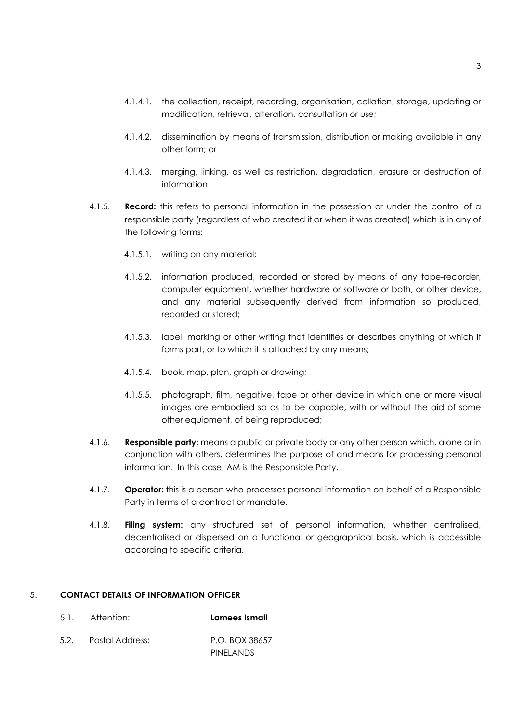- 4.1.4.1. the collection, receipt, recording, organisation, collation, storage, updating or modification, retrieval, alteration, consultation or use;
- 4.1.4.2. dissemination by means of transmission, distribution or making available in any other form; or
- 4.1.4.3. merging, linking, as well as restriction, degradation, erasure or destruction of information
- 4.1.5. **Record:** this refers to personal information in the possession or under the control of a responsible party (regardless of who created it or when it was created) which is in any of the following forms:
	- 4.1.5.1. writing on any material;
	- 4.1.5.2. information produced, recorded or stored by means of any tape-recorder, computer equipment, whether hardware or software or both, or other device, and any material subsequently derived from information so produced, recorded or stored;
	- 4.1.5.3. label, marking or other writing that identifies or describes anything of which it forms part, or to which it is attached by any means;
	- 4.1.5.4. book, map, plan, graph or drawing;
	- 4.1.5.5. photograph, film, negative, tape or other device in which one or more visual images are embodied so as to be capable, with or without the aid of some other equipment, of being reproduced;
- 4.1.6. Responsible party: means a public or private body or any other person which, alone or in conjunction with others, determines the purpose of and means for processing personal information. In this case, AM is the Responsible Party.
- 4.1.7. **Operator:** this is a person who processes personal information on behalf of a Responsible Party in terms of a contract or mandate.
- 4.1.8. Filing system: any structured set of personal information, whether centralised, decentralised or dispersed on a functional or geographical basis, which is accessible according to specific criteria.

### 5. CONTACT DETAILS OF INFORMATION OFFICER

- 5.1. Attention: Lamees Ismail
- 5.2. Postal Address: P.O. BOX 38657 PINELANDS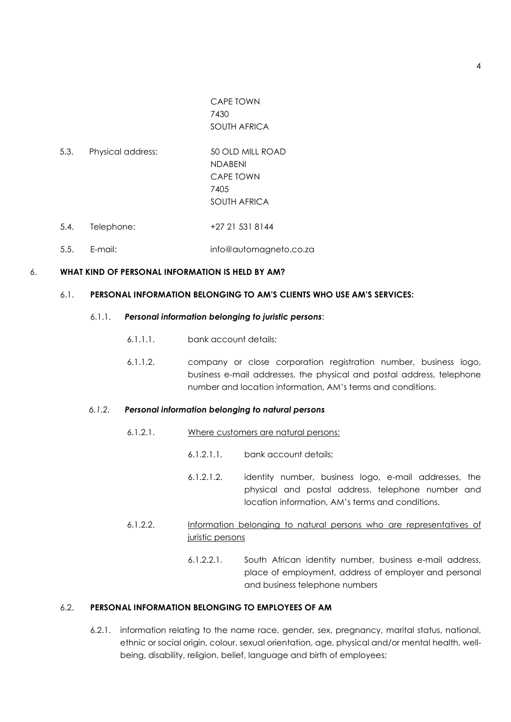CAPE TOWN 7430 SOUTH AFRICA

- 5.3. Physical address: 50 OLD MILL ROAD NDABENI CAPE TOWN 7405 SOUTH AFRICA
- 5.4. Telephone: +27 21 531 8144
- 5.5. E-mail: info@automagneto.co.za

#### 6. WHAT KIND OF PERSONAL INFORMATION IS HELD BY AM?

#### 6.1. PERSONAL INFORMATION BELONGING TO AM'S CLIENTS WHO USE AM'S SERVICES:

#### 6.1.1. Personal information belonging to juristic persons:

- 6.1.1.1. bank account details;
- 6.1.1.2. company or close corporation registration number, business logo, business e-mail addresses, the physical and postal address, telephone number and location information, AM's terms and conditions.

### 6.1.2. Personal information belonging to natural persons

- 6.1.2.1. Where customers are natural persons:
	- 6.1.2.1.1. bank account details;
	- 6.1.2.1.2. identity number, business logo, e-mail addresses, the physical and postal address, telephone number and location information, AM's terms and conditions.
- 6.1.2.2. Information belonging to natural persons who are representatives of juristic persons
	- 6.1.2.2.1. South African identity number, business e-mail address, place of employment, address of employer and personal and business telephone numbers

## 6.2. PERSONAL INFORMATION BELONGING TO EMPLOYEES OF AM

6.2.1. information relating to the name race, gender, sex, pregnancy, marital status, national, ethnic or social origin, colour, sexual orientation, age, physical and/or mental health, wellbeing, disability, religion, belief, language and birth of employees;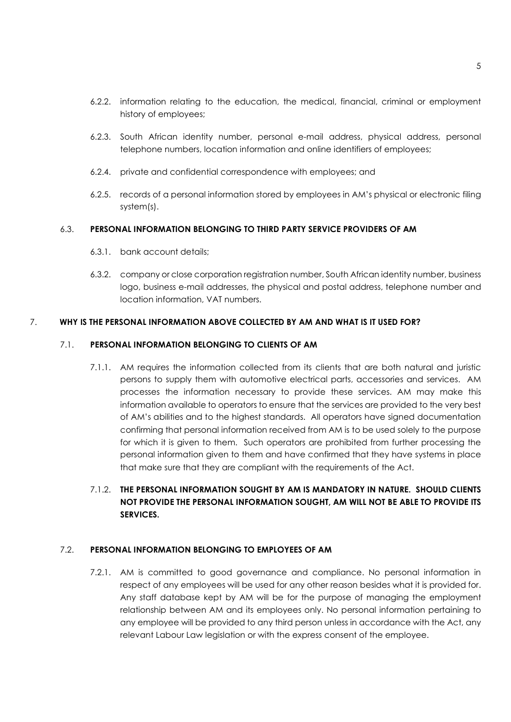- 6.2.2. information relating to the education, the medical, financial, criminal or employment history of employees;
- 6.2.3. South African identity number, personal e-mail address, physical address, personal telephone numbers, location information and online identifiers of employees;
- 6.2.4. private and confidential correspondence with employees; and
- 6.2.5. records of a personal information stored by employees in AM's physical or electronic filing system(s).

# 6.3. PERSONAL INFORMATION BELONGING TO THIRD PARTY SERVICE PROVIDERS OF AM

- 6.3.1. bank account details;
- 6.3.2. company or close corporation registration number, South African identity number, business logo, business e-mail addresses, the physical and postal address, telephone number and location information, VAT numbers.

# 7. WHY IS THE PERSONAL INFORMATION ABOVE COLLECTED BY AM AND WHAT IS IT USED FOR?

# 7.1. PERSONAL INFORMATION BELONGING TO CLIENTS OF AM

- 7.1.1. AM requires the information collected from its clients that are both natural and juristic persons to supply them with automotive electrical parts, accessories and services. AM processes the information necessary to provide these services. AM may make this information available to operators to ensure that the services are provided to the very best of AM's abilities and to the highest standards. All operators have signed documentation confirming that personal information received from AM is to be used solely to the purpose for which it is given to them. Such operators are prohibited from further processing the personal information given to them and have confirmed that they have systems in place that make sure that they are compliant with the requirements of the Act.
- 7.1.2. THE PERSONAL INFORMATION SOUGHT BY AM IS MANDATORY IN NATURE. SHOULD CLIENTS NOT PROVIDE THE PERSONAL INFORMATION SOUGHT, AM WILL NOT BE ABLE TO PROVIDE ITS SERVICES.

## 7.2. PERSONAL INFORMATION BELONGING TO EMPLOYEES OF AM

7.2.1. AM is committed to good governance and compliance. No personal information in respect of any employees will be used for any other reason besides what it is provided for. Any staff database kept by AM will be for the purpose of managing the employment relationship between AM and its employees only. No personal information pertaining to any employee will be provided to any third person unless in accordance with the Act, any relevant Labour Law legislation or with the express consent of the employee.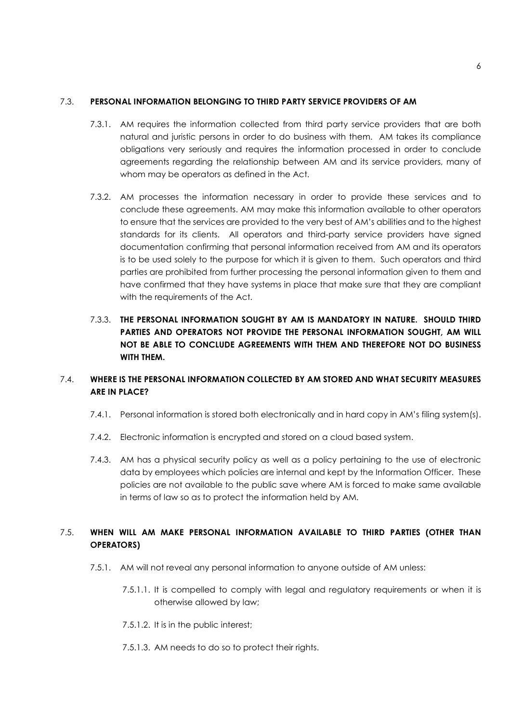# 7.3. PERSONAL INFORMATION BELONGING TO THIRD PARTY SERVICE PROVIDERS OF AM

- 7.3.1. AM requires the information collected from third party service providers that are both natural and juristic persons in order to do business with them. AM takes its compliance obligations very seriously and requires the information processed in order to conclude agreements regarding the relationship between AM and its service providers, many of whom may be operators as defined in the Act.
- 7.3.2. AM processes the information necessary in order to provide these services and to conclude these agreements. AM may make this information available to other operators to ensure that the services are provided to the very best of AM's abilities and to the highest standards for its clients. All operators and third-party service providers have signed documentation confirming that personal information received from AM and its operators is to be used solely to the purpose for which it is given to them. Such operators and third parties are prohibited from further processing the personal information given to them and have confirmed that they have systems in place that make sure that they are compliant with the requirements of the Act.
- 7.3.3. THE PERSONAL INFORMATION SOUGHT BY AM IS MANDATORY IN NATURE. SHOULD THIRD PARTIES AND OPERATORS NOT PROVIDE THE PERSONAL INFORMATION SOUGHT, AM WILL NOT BE ABLE TO CONCLUDE AGREEMENTS WITH THEM AND THEREFORE NOT DO BUSINESS WITH THEM.

# 7.4. WHERE IS THE PERSONAL INFORMATION COLLECTED BY AM STORED AND WHAT SECURITY MEASURES ARE IN PLACE?

- 7.4.1. Personal information is stored both electronically and in hard copy in AM's filing system(s).
- 7.4.2. Electronic information is encrypted and stored on a cloud based system.
- 7.4.3. AM has a physical security policy as well as a policy pertaining to the use of electronic data by employees which policies are internal and kept by the Information Officer. These policies are not available to the public save where AM is forced to make same available in terms of law so as to protect the information held by AM.

# 7.5. WHEN WILL AM MAKE PERSONAL INFORMATION AVAILABLE TO THIRD PARTIES (OTHER THAN OPERATORS)

- 7.5.1. AM will not reveal any personal information to anyone outside of AM unless:
	- 7.5.1.1. It is compelled to comply with legal and regulatory requirements or when it is otherwise allowed by law;
	- 7.5.1.2. It is in the public interest;
	- 7.5.1.3. AM needs to do so to protect their rights.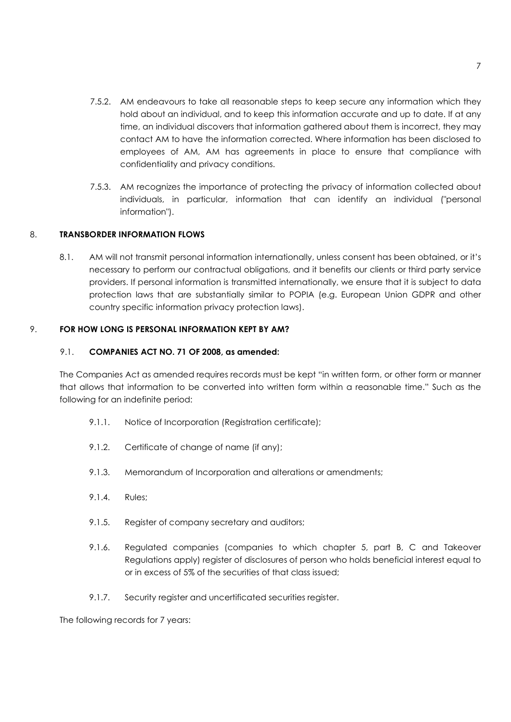- 7.5.2. AM endeavours to take all reasonable steps to keep secure any information which they hold about an individual, and to keep this information accurate and up to date. If at any time, an individual discovers that information gathered about them is incorrect, they may contact AM to have the information corrected. Where information has been disclosed to employees of AM, AM has agreements in place to ensure that compliance with confidentiality and privacy conditions.
- 7.5.3. AM recognizes the importance of protecting the privacy of information collected about individuals, in particular, information that can identify an individual ("personal information").

# 8. TRANSBORDER INFORMATION FLOWS

8.1. AM will not transmit personal information internationally, unless consent has been obtained, or it's necessary to perform our contractual obligations, and it benefits our clients or third party service providers. If personal information is transmitted internationally, we ensure that it is subject to data protection laws that are substantially similar to POPIA (e.g. European Union GDPR and other country specific information privacy protection laws).

## 9. FOR HOW LONG IS PERSONAL INFORMATION KEPT BY AM?

## 9.1. COMPANIES ACT NO. 71 OF 2008, as amended:

The Companies Act as amended requires records must be kept "in written form, or other form or manner that allows that information to be converted into written form within a reasonable time." Such as the following for an indefinite period:

- 9.1.1. Notice of Incorporation (Registration certificate);
- 9.1.2. Certificate of change of name (if any);
- 9.1.3. Memorandum of Incorporation and alterations or amendments;
- 9.1.4. Rules;
- 9.1.5. Register of company secretary and auditors;
- 9.1.6. Regulated companies (companies to which chapter 5, part B, C and Takeover Regulations apply) register of disclosures of person who holds beneficial interest equal to or in excess of 5% of the securities of that class issued;
- 9.1.7. Security register and uncertificated securities register.

The following records for 7 years: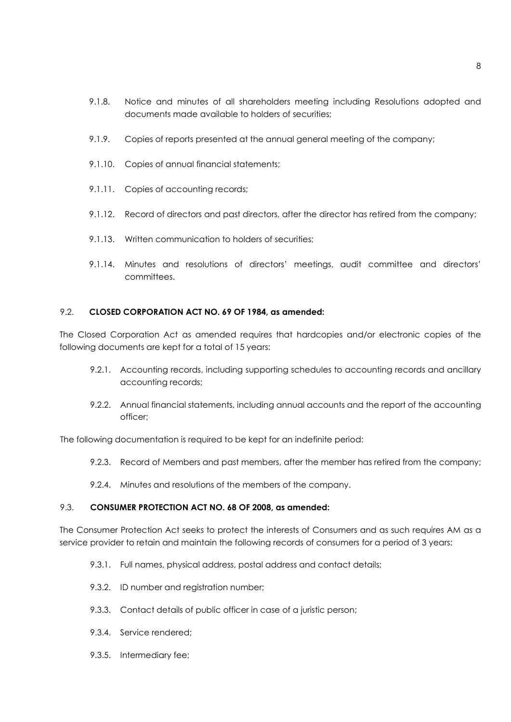- 9.1.8. Notice and minutes of all shareholders meeting including Resolutions adopted and documents made available to holders of securities;
- 9.1.9. Copies of reports presented at the annual general meeting of the company;
- 9.1.10. Copies of annual financial statements;
- 9.1.11. Copies of accounting records;
- 9.1.12. Record of directors and past directors, after the director has retired from the company;
- 9.1.13. Written communication to holders of securities;
- 9.1.14. Minutes and resolutions of directors' meetings, audit committee and directors' committees.

## 9.2. CLOSED CORPORATION ACT NO. 69 OF 1984, as amended:

The Closed Corporation Act as amended requires that hardcopies and/or electronic copies of the following documents are kept for a total of 15 years:

- 9.2.1. Accounting records, including supporting schedules to accounting records and ancillary accounting records;
- 9.2.2. Annual financial statements, including annual accounts and the report of the accounting officer;

The following documentation is required to be kept for an indefinite period:

- 9.2.3. Record of Members and past members, after the member has retired from the company;
- 9.2.4. Minutes and resolutions of the members of the company.

## 9.3. CONSUMER PROTECTION ACT NO. 68 OF 2008, as amended:

The Consumer Protection Act seeks to protect the interests of Consumers and as such requires AM as a service provider to retain and maintain the following records of consumers for a period of 3 years:

- 9.3.1. Full names, physical address, postal address and contact details;
- 9.3.2. ID number and reaistration number:
- 9.3.3. Contact details of public officer in case of a juristic person;
- 9.3.4. Service rendered;
- 9.3.5. Intermediary fee;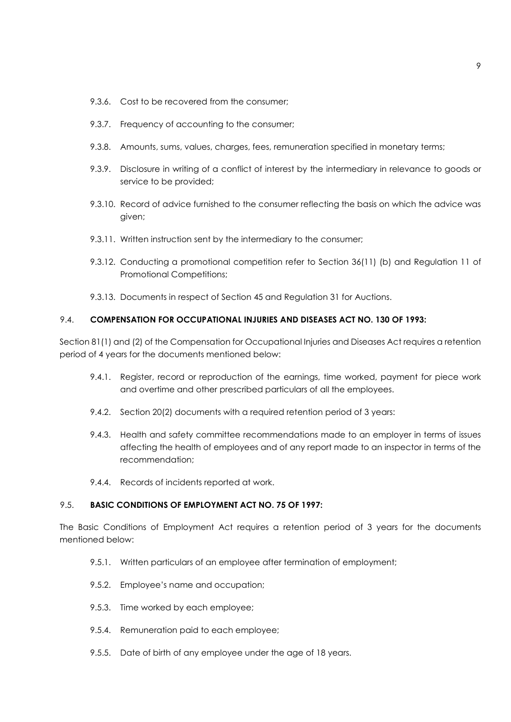- 9.3.6. Cost to be recovered from the consumer:
- 9.3.7. Frequency of accounting to the consumer;
- 9.3.8. Amounts, sums, values, charges, fees, remuneration specified in monetary terms;
- 9.3.9. Disclosure in writing of a conflict of interest by the intermediary in relevance to goods or service to be provided;
- 9.3.10. Record of advice furnished to the consumer reflecting the basis on which the advice was given;
- 9.3.11. Written instruction sent by the intermediary to the consumer;
- 9.3.12. Conducting a promotional competition refer to Section 36(11) (b) and Regulation 11 of Promotional Competitions;
- 9.3.13. Documents in respect of Section 45 and Regulation 31 for Auctions.

#### 9.4. COMPENSATION FOR OCCUPATIONAL INJURIES AND DISEASES ACT NO. 130 OF 1993:

Section 81(1) and (2) of the Compensation for Occupational Injuries and Diseases Act requires a retention period of 4 years for the documents mentioned below:

- 9.4.1. Register, record or reproduction of the earnings, time worked, payment for piece work and overtime and other prescribed particulars of all the employees.
- 9.4.2. Section 20(2) documents with a required retention period of 3 years:
- 9.4.3. Health and safety committee recommendations made to an employer in terms of issues affecting the health of employees and of any report made to an inspector in terms of the recommendation;
- 9.4.4. Records of incidents reported at work.

# 9.5. BASIC CONDITIONS OF EMPLOYMENT ACT NO. 75 OF 1997:

The Basic Conditions of Employment Act requires a retention period of 3 years for the documents mentioned below:

- 9.5.1. Written particulars of an employee after termination of employment;
- 9.5.2. Employee's name and occupation;
- 9.5.3. Time worked by each employee;
- 9.5.4. Remuneration paid to each employee;
- 9.5.5. Date of birth of any employee under the age of 18 years.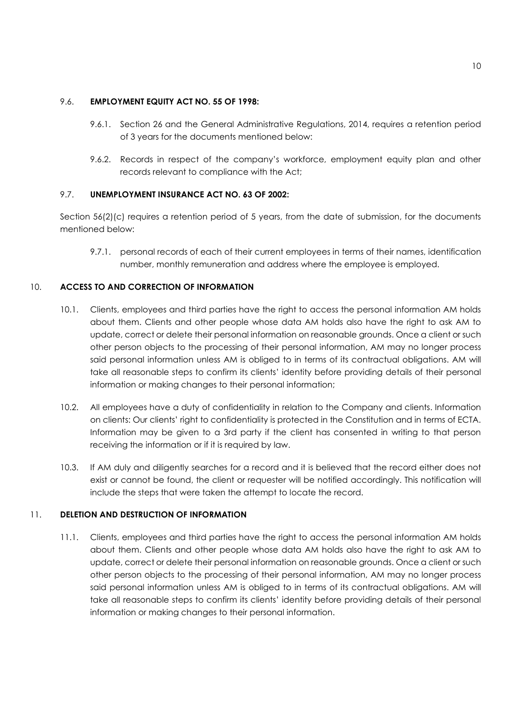## 9.6. EMPLOYMENT EQUITY ACT NO. 55 OF 1998:

- 9.6.1. Section 26 and the General Administrative Regulations, 2014, requires a retention period of 3 years for the documents mentioned below:
- 9.6.2. Records in respect of the company's workforce, employment equity plan and other records relevant to compliance with the Act;

# 9.7. UNEMPLOYMENT INSURANCE ACT NO. 63 OF 2002:

Section 56(2)(c) requires a retention period of 5 years, from the date of submission, for the documents mentioned below:

9.7.1. personal records of each of their current employees in terms of their names, identification number, monthly remuneration and address where the employee is employed.

# 10. ACCESS TO AND CORRECTION OF INFORMATION

- 10.1. Clients, employees and third parties have the right to access the personal information AM holds about them. Clients and other people whose data AM holds also have the right to ask AM to update, correct or delete their personal information on reasonable grounds. Once a client or such other person objects to the processing of their personal information, AM may no longer process said personal information unless AM is obliged to in terms of its contractual obligations. AM will take all reasonable steps to confirm its clients' identity before providing details of their personal information or making changes to their personal information;
- 10.2. All employees have a duty of confidentiality in relation to the Company and clients. Information on clients: Our clients' right to confidentiality is protected in the Constitution and in terms of ECTA. Information may be given to a 3rd party if the client has consented in writing to that person receiving the information or if it is required by law.
- 10.3. If AM duly and diligently searches for a record and it is believed that the record either does not exist or cannot be found, the client or requester will be notified accordingly. This notification will include the steps that were taken the attempt to locate the record.

# 11. DELETION AND DESTRUCTION OF INFORMATION

11.1. Clients, employees and third parties have the right to access the personal information AM holds about them. Clients and other people whose data AM holds also have the right to ask AM to update, correct or delete their personal information on reasonable grounds. Once a client or such other person objects to the processing of their personal information, AM may no longer process said personal information unless AM is obliged to in terms of its contractual obligations. AM will take all reasonable steps to confirm its clients' identity before providing details of their personal information or making changes to their personal information.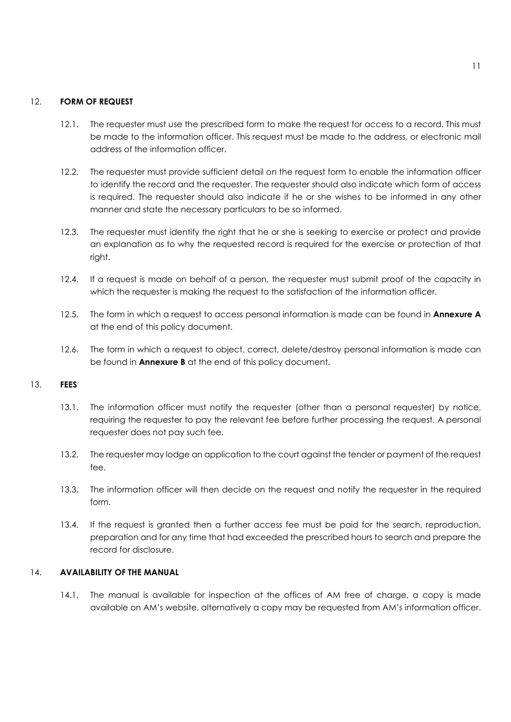### 12. FORM OF REQUEST

- 12.1. The requester must use the prescribed form to make the request for access to a record. This must be made to the information officer. This request must be made to the address, or electronic mail address of the information officer.
- 12.2. The requester must provide sufficient detail on the request form to enable the information officer to identify the record and the requester. The requester should also indicate which form of access is required. The requester should also indicate if he or she wishes to be informed in any other manner and state the necessary particulars to be so informed.
- 12.3. The requester must identify the right that he or she is seeking to exercise or protect and provide an explanation as to why the requested record is required for the exercise or protection of that right.
- 12.4. If a request is made on behalf of a person, the requester must submit proof of the capacity in which the requester is making the request to the satisfaction of the information officer.
- 12.5. The form in which a request to access personal information is made can be found in Annexure A at the end of this policy document.
- 12.6. The form in which a request to object, correct, delete/destroy personal information is made can be found in **Annexure B** at the end of this policy document.

#### 13. FEES

- 13.1. The information officer must notify the requester (other than a personal requester) by notice, requiring the requester to pay the relevant fee before further processing the request. A personal requester does not pay such fee.
- 13.2. The requester may lodge an application to the court against the tender or payment of the request fee.
- 13.3. The information officer will then decide on the request and notify the requester in the required form.
- 13.4. If the request is granted then a further access fee must be paid for the search, reproduction, preparation and for any time that had exceeded the prescribed hours to search and prepare the record for disclosure.

### 14. AVAILABILITY OF THE MANUAL

14.1. The manual is available for inspection at the offices of AM free of charge, a copy is made available on AM's website, alternatively a copy may be requested from AM's information officer.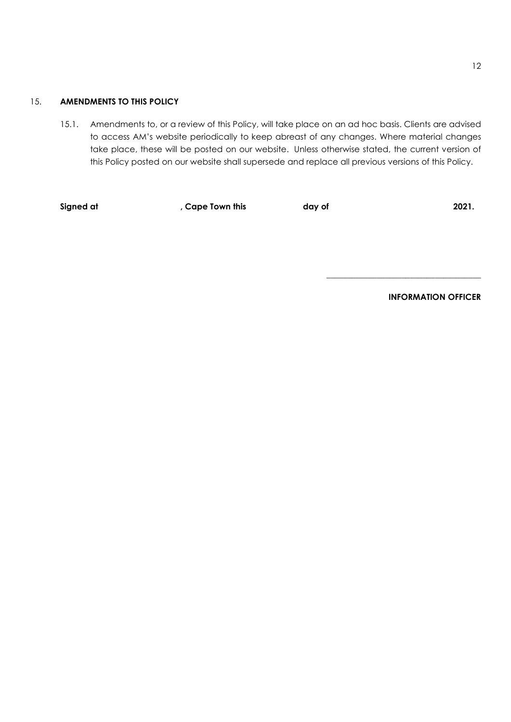## 15. AMENDMENTS TO THIS POLICY

15.1. Amendments to, or a review of this Policy, will take place on an ad hoc basis. Clients are advised to access AM's website periodically to keep abreast of any changes. Where material changes take place, these will be posted on our website. Unless otherwise stated, the current version of this Policy posted on our website shall supersede and replace all previous versions of this Policy.

Signed at the cape Town this the cape of the cape of the 2021.

INFORMATION OFFICER

\_\_\_\_\_\_\_\_\_\_\_\_\_\_\_\_\_\_\_\_\_\_\_\_\_\_\_\_\_\_\_\_\_\_\_\_\_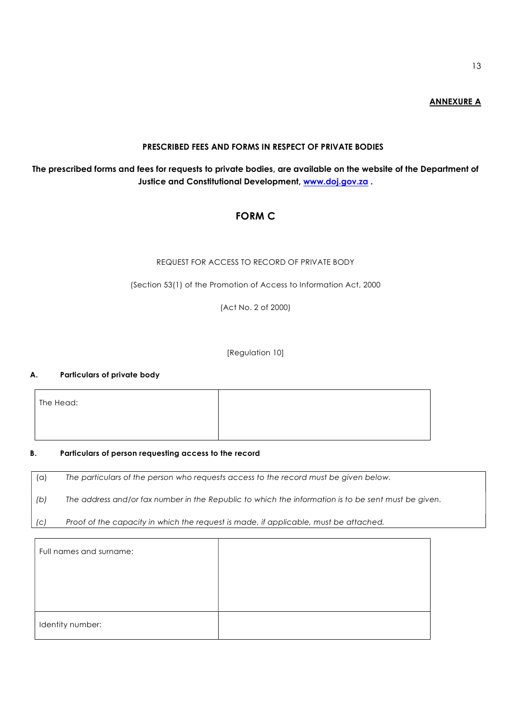## ANNEXURE A

# PRESCRIBED FEES AND FORMS IN RESPECT OF PRIVATE BODIES

# The prescribed forms and fees for requests to private bodies, are available on the website of the Department of Justice and Constitutional Development, www.doj.gov.za.

# FORM C

## REQUEST FOR ACCESS TO RECORD OF PRIVATE BODY

(Section 53(1) of the Promotion of Access to Information Act, 2000

(Act No. 2 of 2000)

[Regulation 10]

## A. Particulars of private body

The Head:

#### B. Particulars of person requesting access to the record

(a) The particulars of the person who requests access to the record must be given below.

(b) The address and/or fax number in the Republic to which the information is to be sent must be given.

(c) Proof of the capacity in which the request is made, if applicable, must be attached.

| Full names and surname: |  |
|-------------------------|--|
|                         |  |
|                         |  |
| Identity number:        |  |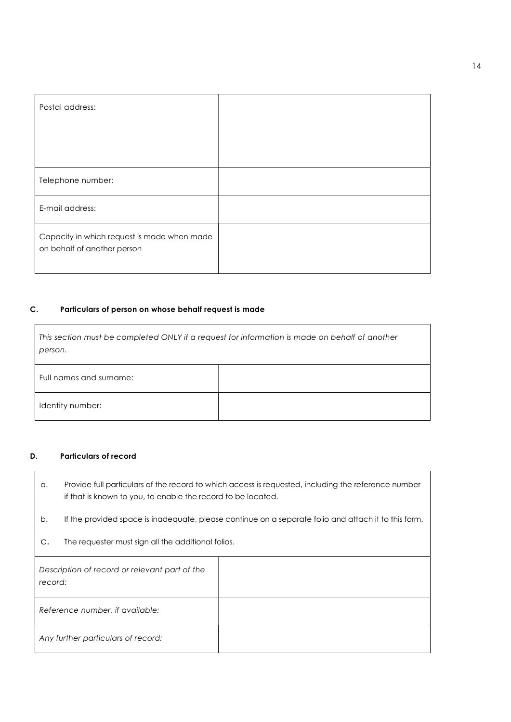| Postal address:                                                            |  |
|----------------------------------------------------------------------------|--|
|                                                                            |  |
|                                                                            |  |
| Telephone number:                                                          |  |
| E-mail address:                                                            |  |
| Capacity in which request is made when made<br>on behalf of another person |  |

# C. Particulars of person on whose behalf request is made

| person.                 | This section must be completed ONLY if a request for information is made on behalf of another |
|-------------------------|-----------------------------------------------------------------------------------------------|
| Full names and surname: |                                                                                               |
| Identity number:        |                                                                                               |

# D. Particulars of record

 $\overline{1}$ 

| Provide full particulars of the record to which access is requested, including the reference number |
|-----------------------------------------------------------------------------------------------------|
| if that is known to you, to enable the record to be located.                                        |

- b. If the provided space is inadequate, please continue on a separate folio and attach it to this form.
- c. The requester must sign all the additional folios.

| Description of record or relevant part of the<br>record: |  |
|----------------------------------------------------------|--|
| Reference number, if available:                          |  |
| Any further particulars of record:                       |  |

٦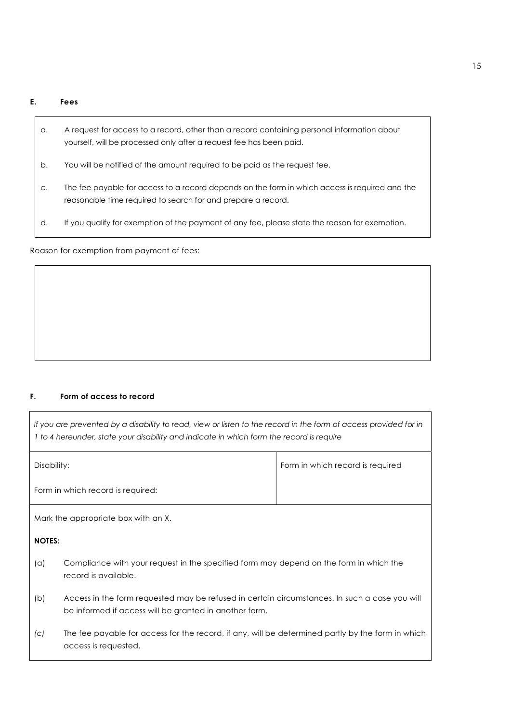#### E. Fees

- a. A request for access to a record, other than a record containing personal information about yourself, will be processed only after a request fee has been paid.
- b. You will be notified of the amount required to be paid as the request fee.
- c. The fee payable for access to a record depends on the form in which access is required and the reasonable time required to search for and prepare a record.
- d. If you qualify for exemption of the payment of any fee, please state the reason for exemption.

Reason for exemption from payment of fees:

#### F. Form of access to record

| If you are prevented by a disability to read, view or listen to the record in the form of access provided for in<br>I to 4 hereunder, state your disability and indicate in which form the record is require |                                  |
|--------------------------------------------------------------------------------------------------------------------------------------------------------------------------------------------------------------|----------------------------------|
| Disability:                                                                                                                                                                                                  | Form in which record is required |
| Form in which record is required:                                                                                                                                                                            |                                  |

Mark the appropriate box with an X.

# NOTES:

- (a) Compliance with your request in the specified form may depend on the form in which the record is available.
- (b) Access in the form requested may be refused in certain circumstances. In such a case you will be informed if access will be granted in another form.
- (c) The fee payable for access for the record, if any, will be determined partly by the form in which access is requested.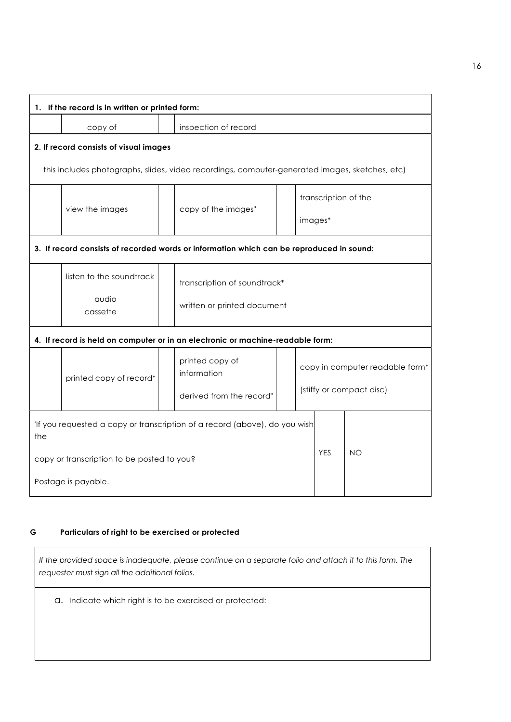|     | 1. If the record is in written or printed form: |                                                                                                |  |  |                      |                                 |
|-----|-------------------------------------------------|------------------------------------------------------------------------------------------------|--|--|----------------------|---------------------------------|
|     | copy of                                         | inspection of record                                                                           |  |  |                      |                                 |
|     | 2. If record consists of visual images          |                                                                                                |  |  |                      |                                 |
|     |                                                 | this includes photographs, slides, video recordings, computer-generated images, sketches, etc) |  |  |                      |                                 |
|     | view the images                                 | copy of the images"                                                                            |  |  | transcription of the |                                 |
|     |                                                 |                                                                                                |  |  | images*              |                                 |
|     |                                                 | 3. If record consists of recorded words or information which can be reproduced in sound:       |  |  |                      |                                 |
|     | listen to the soundtrack                        | transcription of soundtrack*                                                                   |  |  |                      |                                 |
|     | audio<br>cassette                               | written or printed document                                                                    |  |  |                      |                                 |
|     |                                                 | 4. If record is held on computer or in an electronic or machine-readable form:                 |  |  |                      |                                 |
|     | printed copy of record*                         | printed copy of<br>information                                                                 |  |  |                      | copy in computer readable form* |
|     |                                                 | derived from the record"                                                                       |  |  |                      | (stiffy or compact disc)        |
| the |                                                 | 'If you requested a copy or transcription of a record (above), do you wish                     |  |  |                      |                                 |
|     | copy or transcription to be posted to you?      |                                                                                                |  |  | <b>YES</b>           | <b>NO</b>                       |
|     | Postage is payable.                             |                                                                                                |  |  |                      |                                 |

## G Particulars of right to be exercised or protected

If the provided space is inadequate, please continue on a separate folio and attach it to this form. The requester must sign all the additional folios.

a. Indicate which right is to be exercised or protected: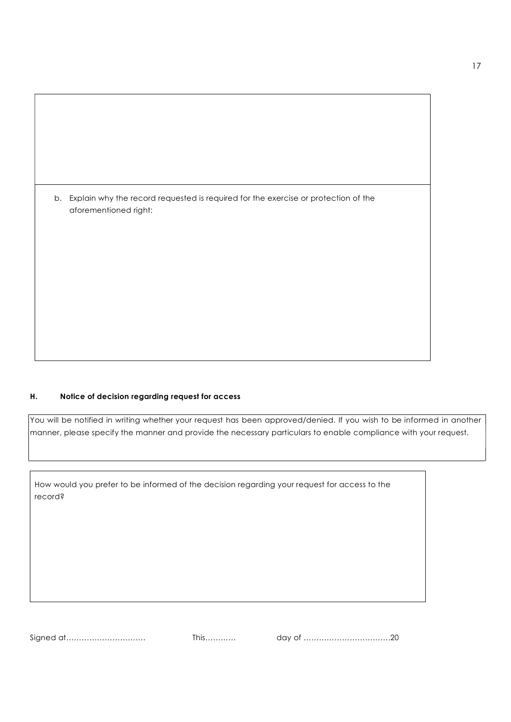| b. Explain why the record requested is required for the exercise or protection of the<br>aforementioned right: |
|----------------------------------------------------------------------------------------------------------------|

#### H. Notice of decision regarding request for access

You will be notified in writing whether your request has been approved/denied. If you wish to be informed in another manner, please specify the manner and provide the necessary particulars to enable compliance with your request.

How would you prefer to be informed of the decision regarding your request for access to the record?

Signed at…………………………. This………… day of …………………………….20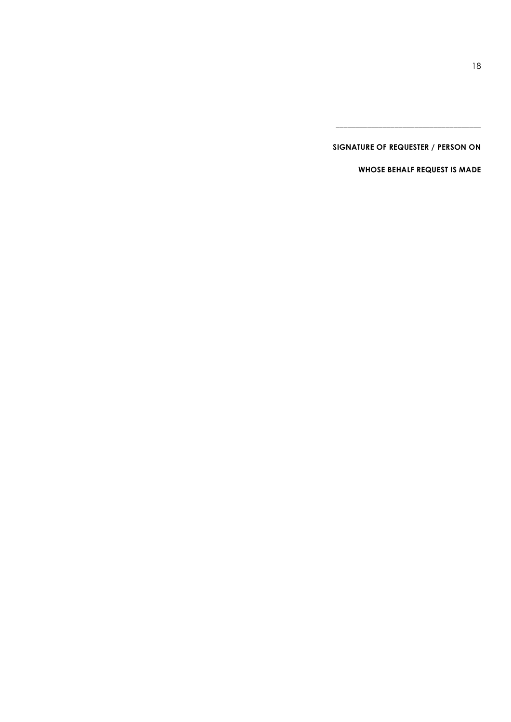# SIGNATURE OF REQUESTER / PERSON ON

\_\_\_\_\_\_\_\_\_\_\_\_\_\_\_\_\_\_\_\_\_\_\_\_\_\_\_\_\_\_\_\_\_\_\_\_\_

WHOSE BEHALF REQUEST IS MADE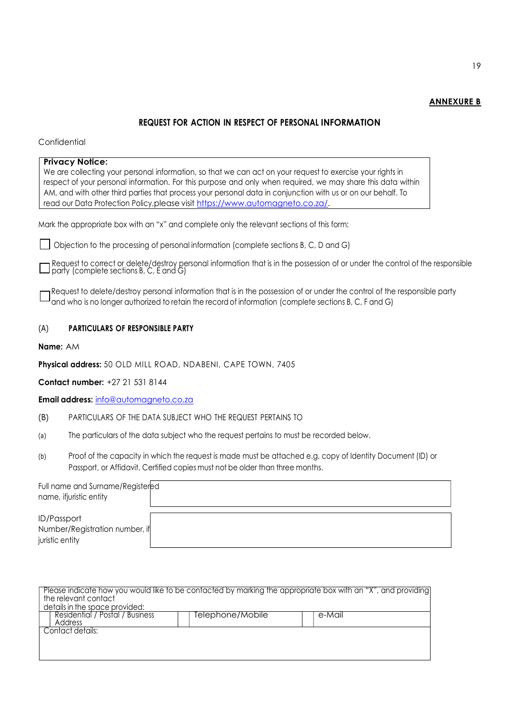## ANNEXURE B

# REQUEST FOR ACTION IN RESPECT OF PERSONAL INFORMATION

#### **Confidential**

| <b>Privacy Notice:</b>                                                                                                                                                                                                     |  |
|----------------------------------------------------------------------------------------------------------------------------------------------------------------------------------------------------------------------------|--|
| We are collecting your personal information, so that we can act on your request to exercise your rights in<br>respect of your personal information. For this purpose and only when required, we may share this data within |  |
| AM, and with other third parties that process your personal data in conjunction with us or on our behalf. To                                                                                                               |  |
| read our Data Protection Policy, please visit https://www.automagneto.co.za/.                                                                                                                                              |  |
| Mark the appropriate box with an "x" and complete only the relevant sections of this form:                                                                                                                                 |  |
| $\Box$ Objection to the processing of personal information (complete sections B, C, D and G)                                                                                                                               |  |
| $\Box$ Request to correct or delete/destroy personal information that is in the possession of or under the control of the responsible party (complete sections B, C, E and G)                                              |  |

Request to delete/destroy personal information that is in the possession of or under the control of the responsible party  $^\mathsf{I}$  and who is no longer authorized to retain the record of information (complete sections B, C, F and G)

## (A) PARTICULARS OF RESPONSIBLE PARTY

Name: AM

Physical address: 50 OLD MILL ROAD, NDABENI, CAPE TOWN, 7405

Contact number: +27 21 531 8144

Email address: info@automagneto.co.za

- (B) PARTICULARS OF THE DATA SUBJECT WHO THE REQUEST PERTAINS TO
- (a) The particulars of the data subject who the request pertains to must be recorded below.
- (b) Proof of the capacity in which the request is made must be attached e.g. copy of Identity Document (ID) or Passport, or Affidavit. Certified copies must not be older than three months.

| Full name and Surname/Registered<br>name, ifjuristic entity |  |
|-------------------------------------------------------------|--|
| <b>ID/Passport</b>                                          |  |
| Number/Registration number, if<br>juristic entity           |  |

| Please indicate how you would like to be contacted by marking the appropriate box with an "X", and providing<br>the relevant contact<br>details in the space provided: |
|------------------------------------------------------------------------------------------------------------------------------------------------------------------------|
| Residential / Postal / Business<br>Telephone/Mobile<br>e-Mail<br>Address                                                                                               |
| Contact details:                                                                                                                                                       |
|                                                                                                                                                                        |
|                                                                                                                                                                        |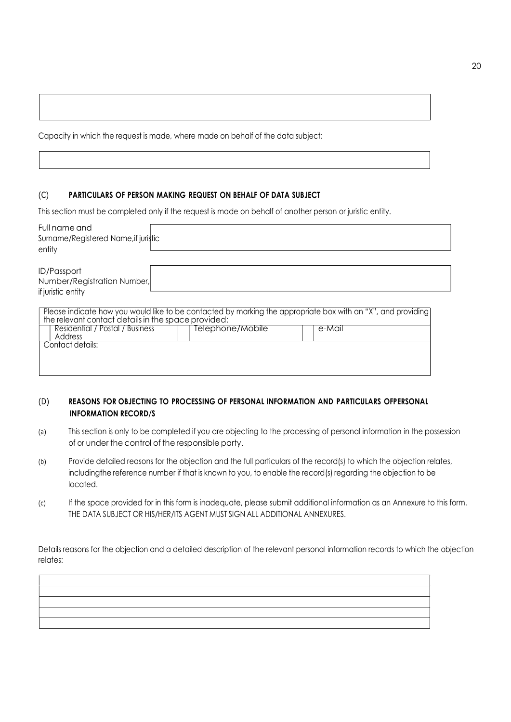Capacity in which the request is made, where made on behalf of the data subject:

## (C) PARTICULARS OF PERSON MAKING REQUEST ON BEHALF OF DATA SUBJECT

This section must be completed only if the request is made on behalf of another person or juristic entity.

| Full name and<br>Surname/Registered Name, if juristic<br>entity                                                                                                                                                   |                  |        |  |
|-------------------------------------------------------------------------------------------------------------------------------------------------------------------------------------------------------------------|------------------|--------|--|
| <b>ID/Passport</b><br>Number/Registration Number,<br>if juristic entity                                                                                                                                           |                  |        |  |
| Please indicate how you would like to be contacted by marking the appropriate box with an "X", and providing<br>the relevant contact details in the space provided:<br>Residential / Postal / Business<br>Address | Telephone/Mobile | e-Mail |  |
| Contact details:                                                                                                                                                                                                  |                  |        |  |

# (D) REASONS FOR OBJECTING TO PROCESSING OF PERSONAL INFORMATION AND PARTICULARS OF PERSONAL INFORMATION RECORD/S

- (a) This section is only to be completed if you are objecting to the processing of personal information in the possession of or under the control of the responsible party.
- (b) Provide detailed reasons for the objection and the full particulars of the record(s) to which the objection relates, including the reference number if that is known to you, to enable the record(s) regarding the objection to be located.
- (c) If the space provided for in this form is inadequate, please submit additional information as an Annexure to this form. THE DATA SUBJECT OR HIS/HER/ITS AGENT MUST SIGN ALL ADDITIONAL ANNEXURES.

Details reasons for the objection and a detailed description of the relevant personal information records to which the objection relates: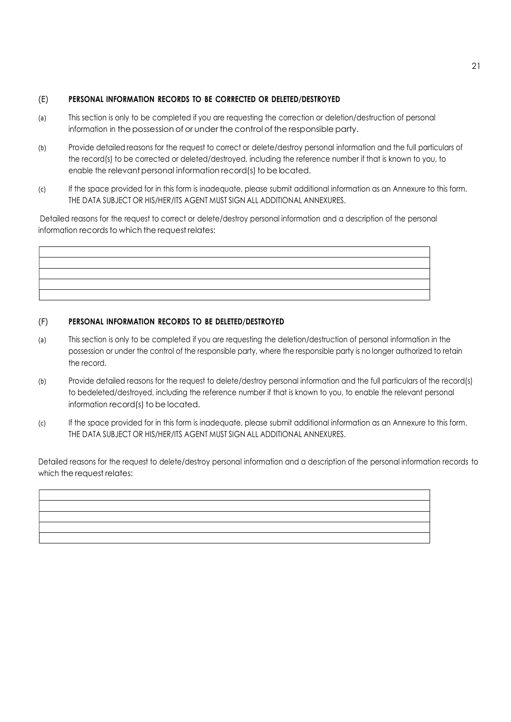# (E) PERSONAL INFORMATION RECORDS TO BE CORRECTED OR DELETED/DESTROYED

- (a) This section is only to be completed if you are requesting the correction or deletion/destruction of personal information in the possession of or under the control of the responsible party.
- (b) Provide detailed reasons for the request to correct or delete/destroy personal information and the full particulars of the record(s) to be corrected or deleted/destroyed, including the reference number if that is known to you, to enable the relevant personal information record(s) to be located.
- (c) If the space provided for in this form is inadequate, please submit additional information as an Annexure to this form. THE DATA SUBJECT OR HIS/HER/ITS AGENT MUST SIGN ALL ADDITIONAL ANNEXURES.

Detailed reasons for the request to correct or delete/destroy personal information and a description of the personal information records to which the request relates:

# (F) PERSONAL INFORMATION RECORDS TO BE DELETED/DESTROYED

- (a) This section is only to be completed if you are requesting the deletion/destruction of personal information in the possession or under the control of the responsible party, where the responsible party is no longer authorized to retain the record.
- (b) Provide detailed reasons for the request to delete/destroy personal information and the full particulars of the record(s) to be deleted/destroyed, including the reference number if that is known to you, to enable the relevant personal information record(s) to be located.
- (c) If the space provided for in this form is inadequate, please submit additional information as an Annexure to this form. THE DATA SUBJECT OR HIS/HER/ITS AGENT MUST SIGN ALL ADDITIONAL ANNEXURES.

Detailed reasons for the request to delete/destroy personal information and a description of the personal information records to which the request relates: